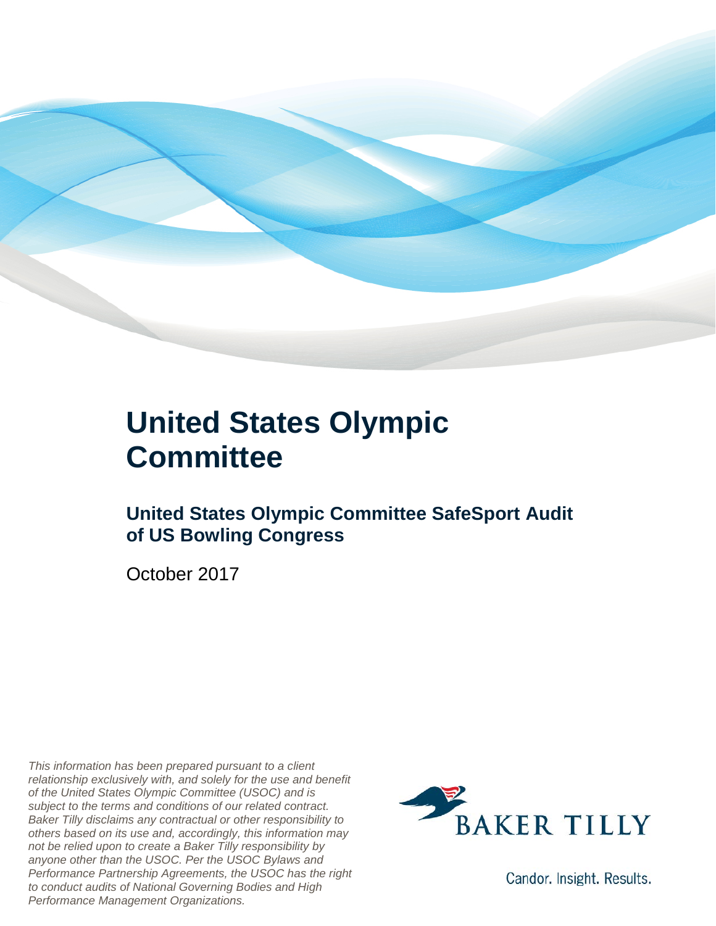

### **United States Olympic Committee**

#### **United States Olympic Committee SafeSport Audit of US Bowling Congress**

October 2017

*This information has been prepared pursuant to a client relationship exclusively with, and solely for the use and benefit of the United States Olympic Committee (USOC) and is subject to the terms and conditions of our related contract. Baker Tilly disclaims any contractual or other responsibility to others based on its use and, accordingly, this information may not be relied upon to create a Baker Tilly responsibility by anyone other than the USOC. Per the USOC Bylaws and Performance Partnership Agreements, the USOC has the right to conduct audits of National Governing Bodies and High Performance Management Organizations.*



Candor. Insight. Results.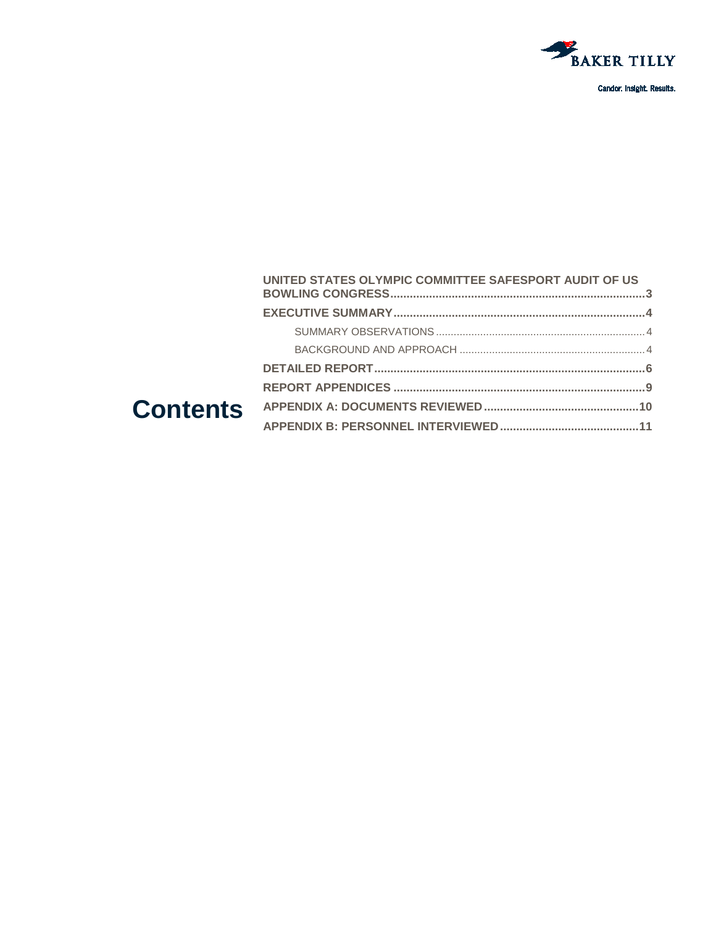

#### UNITED STATES OLYMPIC COMMITTEE SAFESPORT AUDIT OF US **Contents**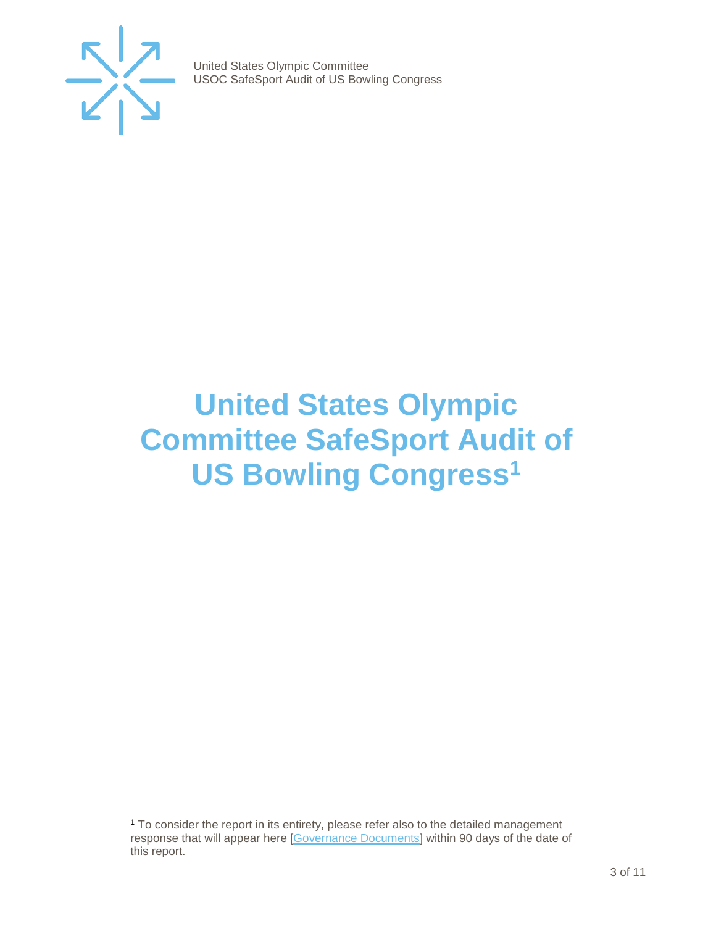

j

United States Olympic Committee USOC SafeSport Audit of US Bowling Congress

### <span id="page-2-0"></span>**United States Olympic Committee SafeSport Audit of US Bowling Congress[1](#page-2-1)**

<span id="page-2-1"></span><sup>1</sup> To consider the report in its entirety, please refer also to the detailed management response that will appear here [\[Governance Documents\]](https://www.teamusa.org/Footer/Legal/Governance-Documents) within 90 days of the date of this report.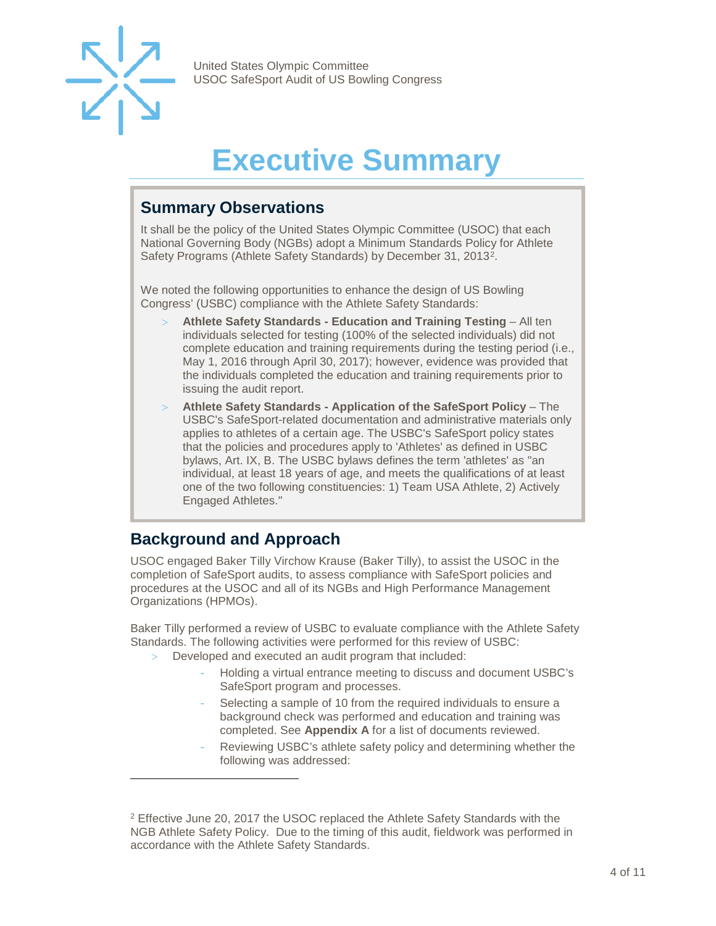

## **Executive Summary**

#### <span id="page-3-1"></span><span id="page-3-0"></span>**Summary Observations**

It shall be the policy of the United States Olympic Committee (USOC) that each National Governing Body (NGBs) adopt a Minimum Standards Policy for Athlete Safety Programs (Athlete Safety Standards) by December 31, 2013[2](#page-3-3).

We noted the following opportunities to enhance the design of US Bowling Congress' (USBC) compliance with the Athlete Safety Standards:

- > **Athlete Safety Standards - Education and Training Testing**  All ten individuals selected for testing (100% of the selected individuals) did not complete education and training requirements during the testing period (i.e., May 1, 2016 through April 30, 2017); however, evidence was provided that the individuals completed the education and training requirements prior to issuing the audit report.
- > **Athlete Safety Standards - Application of the SafeSport Policy**  The USBC's SafeSport-related documentation and administrative materials only applies to athletes of a certain age. The USBC's SafeSport policy states that the policies and procedures apply to 'Athletes' as defined in USBC bylaws, Art. IX, B. The USBC bylaws defines the term 'athletes' as "an individual, at least 18 years of age, and meets the qualifications of at least one of the two following constituencies: 1) Team USA Athlete, 2) Actively Engaged Athletes."

#### <span id="page-3-2"></span>**Background and Approach**

-

USOC engaged Baker Tilly Virchow Krause (Baker Tilly), to assist the USOC in the completion of SafeSport audits, to assess compliance with SafeSport policies and procedures at the USOC and all of its NGBs and High Performance Management Organizations (HPMOs).

Baker Tilly performed a review of USBC to evaluate compliance with the Athlete Safety Standards. The following activities were performed for this review of USBC:

- Developed and executed an audit program that included:
	- Holding a virtual entrance meeting to discuss and document USBC's SafeSport program and processes.
	- Selecting a sample of 10 from the required individuals to ensure a background check was performed and education and training was completed. See **Appendix A** for a list of documents reviewed.
	- Reviewing USBC's athlete safety policy and determining whether the following was addressed:

<span id="page-3-3"></span><sup>&</sup>lt;sup>2</sup> Effective June 20, 2017 the USOC replaced the Athlete Safety Standards with the NGB Athlete Safety Policy. Due to the timing of this audit, fieldwork was performed in accordance with the Athlete Safety Standards.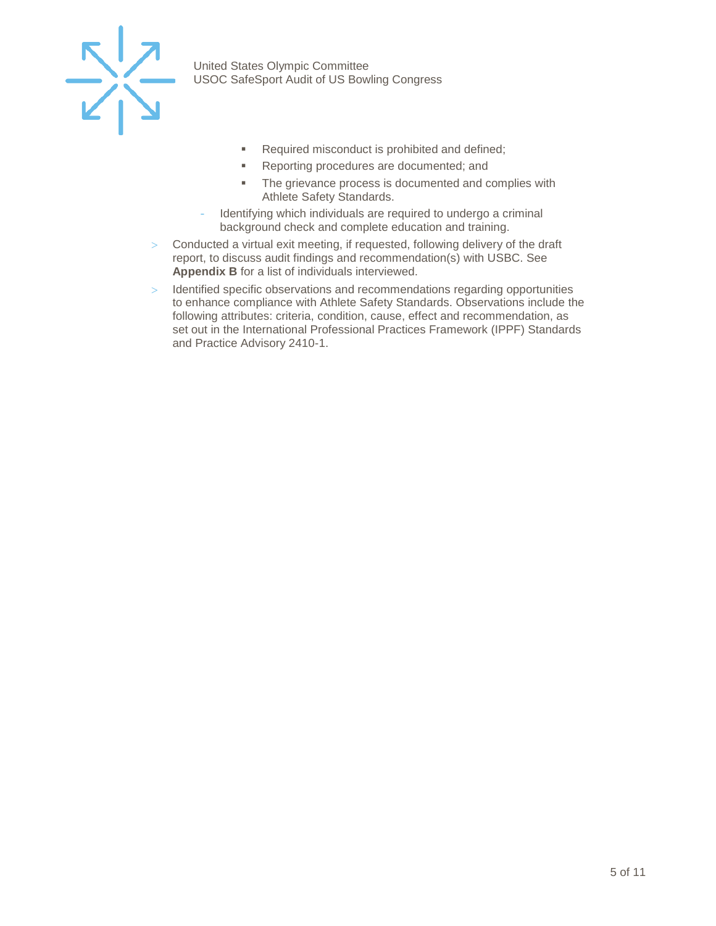

- Required misconduct is prohibited and defined;
- **Reporting procedures are documented; and**
- The grievance process is documented and complies with Athlete Safety Standards.
- Identifying which individuals are required to undergo a criminal background check and complete education and training.
- > Conducted a virtual exit meeting, if requested, following delivery of the draft report, to discuss audit findings and recommendation(s) with USBC. See **Appendix B** for a list of individuals interviewed.
- > Identified specific observations and recommendations regarding opportunities to enhance compliance with Athlete Safety Standards. Observations include the following attributes: criteria, condition, cause, effect and recommendation, as set out in the International Professional Practices Framework (IPPF) Standards and Practice Advisory 2410-1.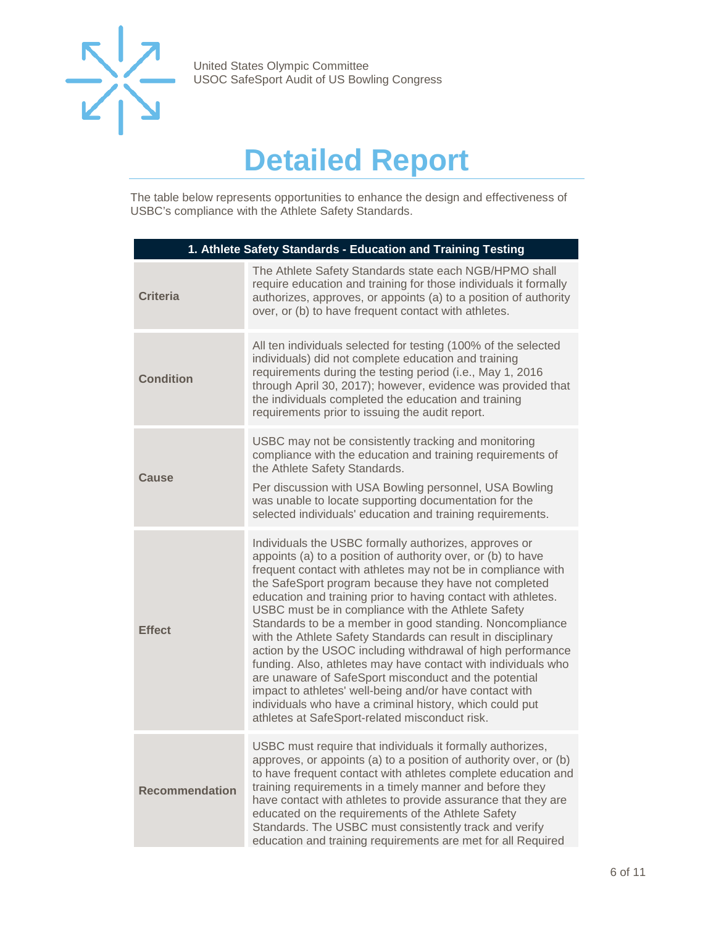

## **Detailed Report**

<span id="page-5-0"></span>The table below represents opportunities to enhance the design and effectiveness of USBC's compliance with the Athlete Safety Standards.

| 1. Athlete Safety Standards - Education and Training Testing |                                                                                                                                                                                                                                                                                                                                                                                                                                                                                                                                                                                                                                                                                                                                                                                                                                                                     |  |
|--------------------------------------------------------------|---------------------------------------------------------------------------------------------------------------------------------------------------------------------------------------------------------------------------------------------------------------------------------------------------------------------------------------------------------------------------------------------------------------------------------------------------------------------------------------------------------------------------------------------------------------------------------------------------------------------------------------------------------------------------------------------------------------------------------------------------------------------------------------------------------------------------------------------------------------------|--|
| <b>Criteria</b>                                              | The Athlete Safety Standards state each NGB/HPMO shall<br>require education and training for those individuals it formally<br>authorizes, approves, or appoints (a) to a position of authority<br>over, or (b) to have frequent contact with athletes.                                                                                                                                                                                                                                                                                                                                                                                                                                                                                                                                                                                                              |  |
| <b>Condition</b>                                             | All ten individuals selected for testing (100% of the selected<br>individuals) did not complete education and training<br>requirements during the testing period (i.e., May 1, 2016<br>through April 30, 2017); however, evidence was provided that<br>the individuals completed the education and training<br>requirements prior to issuing the audit report.                                                                                                                                                                                                                                                                                                                                                                                                                                                                                                      |  |
| Cause                                                        | USBC may not be consistently tracking and monitoring<br>compliance with the education and training requirements of<br>the Athlete Safety Standards.<br>Per discussion with USA Bowling personnel, USA Bowling<br>was unable to locate supporting documentation for the<br>selected individuals' education and training requirements.                                                                                                                                                                                                                                                                                                                                                                                                                                                                                                                                |  |
| <b>Effect</b>                                                | Individuals the USBC formally authorizes, approves or<br>appoints (a) to a position of authority over, or (b) to have<br>frequent contact with athletes may not be in compliance with<br>the SafeSport program because they have not completed<br>education and training prior to having contact with athletes.<br>USBC must be in compliance with the Athlete Safety<br>Standards to be a member in good standing. Noncompliance<br>with the Athlete Safety Standards can result in disciplinary<br>action by the USOC including withdrawal of high performance<br>funding. Also, athletes may have contact with individuals who<br>are unaware of SafeSport misconduct and the potential<br>impact to athletes' well-being and/or have contact with<br>individuals who have a criminal history, which could put<br>athletes at SafeSport-related misconduct risk. |  |
| <b>Recommendation</b>                                        | USBC must require that individuals it formally authorizes,<br>approves, or appoints (a) to a position of authority over, or (b)<br>to have frequent contact with athletes complete education and<br>training requirements in a timely manner and before they<br>have contact with athletes to provide assurance that they are<br>educated on the requirements of the Athlete Safety<br>Standards. The USBC must consistently track and verify<br>education and training requirements are met for all Required                                                                                                                                                                                                                                                                                                                                                       |  |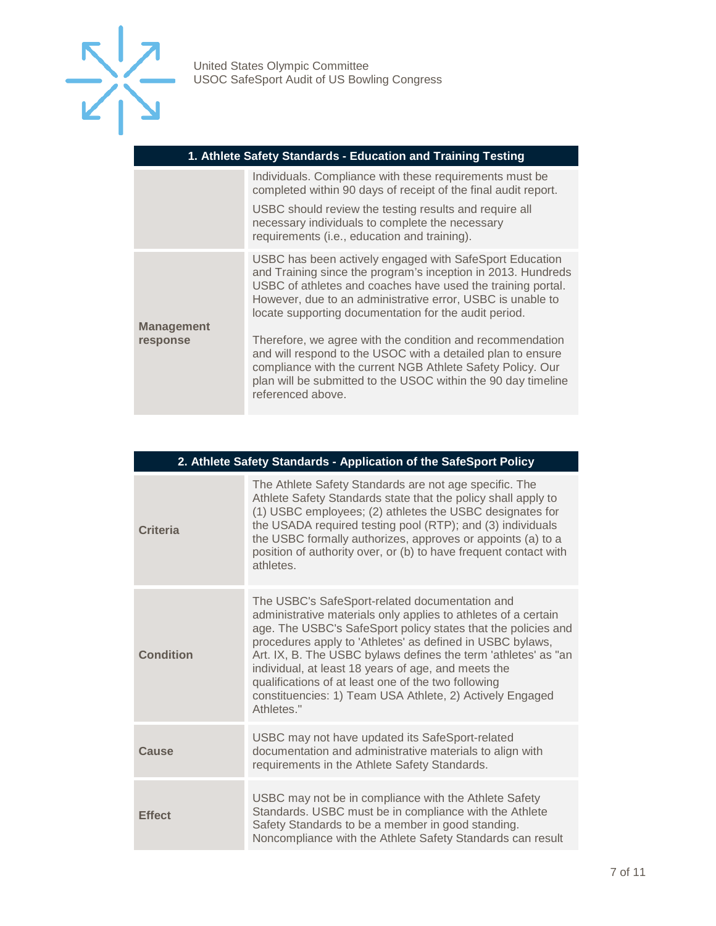

| 1. Athlete Safety Standards - Education and Training Testing |                                                                                                                                                                                                                                                                                                               |  |
|--------------------------------------------------------------|---------------------------------------------------------------------------------------------------------------------------------------------------------------------------------------------------------------------------------------------------------------------------------------------------------------|--|
|                                                              | Individuals. Compliance with these requirements must be<br>completed within 90 days of receipt of the final audit report.                                                                                                                                                                                     |  |
|                                                              | USBC should review the testing results and require all<br>necessary individuals to complete the necessary<br>requirements (i.e., education and training).                                                                                                                                                     |  |
|                                                              | USBC has been actively engaged with SafeSport Education<br>and Training since the program's inception in 2013. Hundreds<br>USBC of athletes and coaches have used the training portal.<br>However, due to an administrative error, USBC is unable to<br>locate supporting documentation for the audit period. |  |
| <b>Management</b><br>response                                | Therefore, we agree with the condition and recommendation<br>and will respond to the USOC with a detailed plan to ensure<br>compliance with the current NGB Athlete Safety Policy. Our<br>plan will be submitted to the USOC within the 90 day timeline<br>referenced above.                                  |  |

| 2. Athlete Safety Standards - Application of the SafeSport Policy |                                                                                                                                                                                                                                                                                                                                                                                                                                                                                                          |  |
|-------------------------------------------------------------------|----------------------------------------------------------------------------------------------------------------------------------------------------------------------------------------------------------------------------------------------------------------------------------------------------------------------------------------------------------------------------------------------------------------------------------------------------------------------------------------------------------|--|
| <b>Criteria</b>                                                   | The Athlete Safety Standards are not age specific. The<br>Athlete Safety Standards state that the policy shall apply to<br>(1) USBC employees; (2) athletes the USBC designates for<br>the USADA required testing pool (RTP); and (3) individuals<br>the USBC formally authorizes, approves or appoints (a) to a<br>position of authority over, or (b) to have frequent contact with<br>athletes.                                                                                                        |  |
| Condition                                                         | The USBC's SafeSport-related documentation and<br>administrative materials only applies to athletes of a certain<br>age. The USBC's SafeSport policy states that the policies and<br>procedures apply to 'Athletes' as defined in USBC bylaws,<br>Art. IX, B. The USBC bylaws defines the term 'athletes' as "an<br>individual, at least 18 years of age, and meets the<br>qualifications of at least one of the two following<br>constituencies: 1) Team USA Athlete, 2) Actively Engaged<br>Athletes." |  |
| Cause                                                             | USBC may not have updated its SafeSport-related<br>documentation and administrative materials to align with<br>requirements in the Athlete Safety Standards.                                                                                                                                                                                                                                                                                                                                             |  |
| <b>Effect</b>                                                     | USBC may not be in compliance with the Athlete Safety<br>Standards. USBC must be in compliance with the Athlete<br>Safety Standards to be a member in good standing.<br>Noncompliance with the Athlete Safety Standards can result                                                                                                                                                                                                                                                                       |  |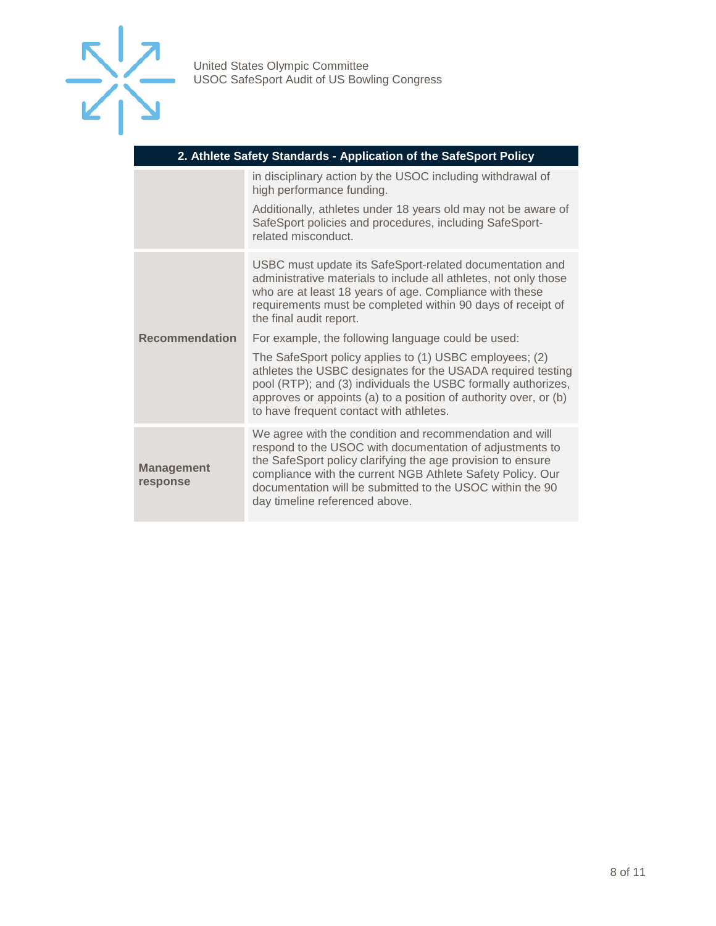

| 2. Athlete Safety Standards - Application of the SafeSport Policy |                                                                                                                                                                                                                                                                                                                                                 |  |
|-------------------------------------------------------------------|-------------------------------------------------------------------------------------------------------------------------------------------------------------------------------------------------------------------------------------------------------------------------------------------------------------------------------------------------|--|
|                                                                   | in disciplinary action by the USOC including withdrawal of<br>high performance funding.                                                                                                                                                                                                                                                         |  |
|                                                                   | Additionally, athletes under 18 years old may not be aware of<br>SafeSport policies and procedures, including SafeSport-<br>related misconduct.                                                                                                                                                                                                 |  |
|                                                                   | USBC must update its SafeSport-related documentation and<br>administrative materials to include all athletes, not only those<br>who are at least 18 years of age. Compliance with these<br>requirements must be completed within 90 days of receipt of<br>the final audit report.                                                               |  |
| <b>Recommendation</b>                                             | For example, the following language could be used:                                                                                                                                                                                                                                                                                              |  |
|                                                                   | The SafeSport policy applies to (1) USBC employees; (2)<br>athletes the USBC designates for the USADA required testing<br>pool (RTP); and (3) individuals the USBC formally authorizes,<br>approves or appoints (a) to a position of authority over, or (b)<br>to have frequent contact with athletes.                                          |  |
| <b>Management</b><br>response                                     | We agree with the condition and recommendation and will<br>respond to the USOC with documentation of adjustments to<br>the SafeSport policy clarifying the age provision to ensure<br>compliance with the current NGB Athlete Safety Policy. Our<br>documentation will be submitted to the USOC within the 90<br>day timeline referenced above. |  |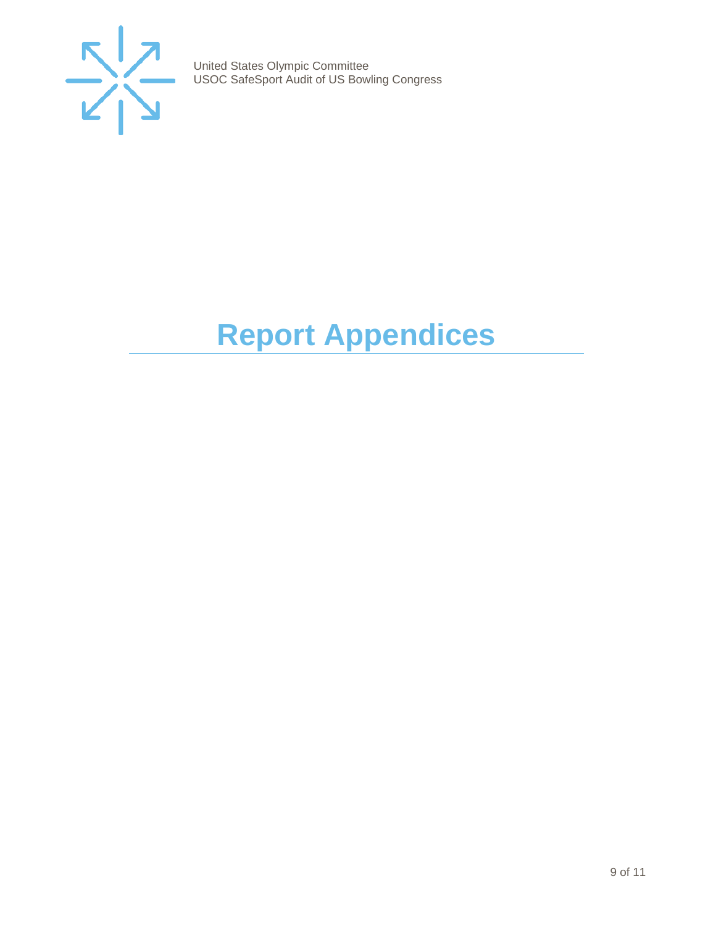

# <span id="page-8-0"></span>**Report Appendices**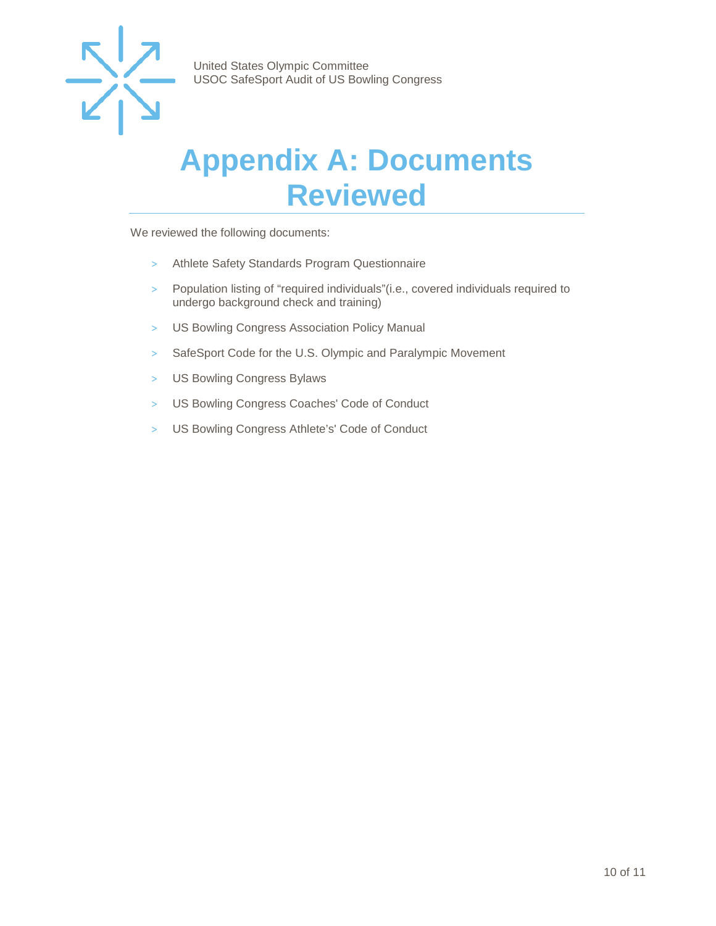

### <span id="page-9-0"></span>**Appendix A: Documents Reviewed**

We reviewed the following documents:

- > Athlete Safety Standards Program Questionnaire
- > Population listing of "required individuals"(i.e., covered individuals required to undergo background check and training)
- > US Bowling Congress Association Policy Manual
- > SafeSport Code for the U.S. Olympic and Paralympic Movement
- > US Bowling Congress Bylaws
- > US Bowling Congress Coaches' Code of Conduct
- > US Bowling Congress Athlete's' Code of Conduct